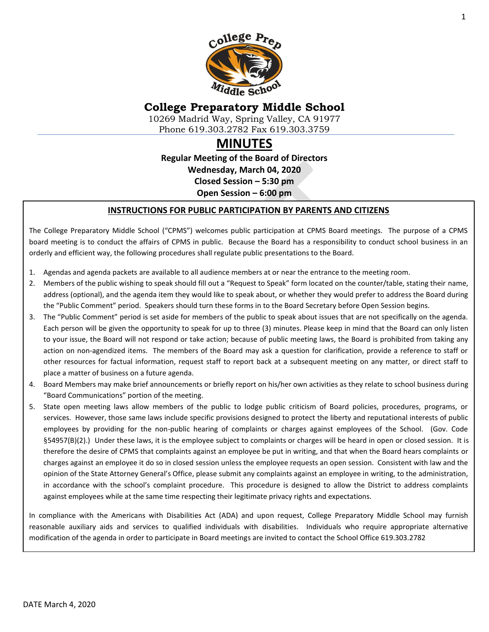

# **College Preparatory Middle School**

10269 Madrid Way, Spring Valley, CA 91977 Phone 619.303.2782 Fax 619.303.3759

# **MINUTES**

**Regular Meeting of the Board of Directors Wednesday, March 04, 2020 Closed Session – 5:30 pm Open Session – 6:00 pm**

#### **INSTRUCTIONS FOR PUBLIC PARTICIPATION BY PARENTS AND CITIZENS**

The College Preparatory Middle School ("CPMS") welcomes public participation at CPMS Board meetings. The purpose of a CPMS board meeting is to conduct the affairs of CPMS in public. Because the Board has a responsibility to conduct school business in an orderly and efficient way, the following procedures shall regulate public presentations to the Board.

- 1. Agendas and agenda packets are available to all audience members at or near the entrance to the meeting room.
- 2. Members of the public wishing to speak should fill out a "Request to Speak" form located on the counter/table, stating their name, address (optional), and the agenda item they would like to speak about, or whether they would prefer to address the Board during the "Public Comment" period. Speakers should turn these forms in to the Board Secretary before Open Session begins.
- 3. The "Public Comment" period is set aside for members of the public to speak about issues that are not specifically on the agenda. Each person will be given the opportunity to speak for up to three (3) minutes. Please keep in mind that the Board can only listen to your issue, the Board will not respond or take action; because of public meeting laws, the Board is prohibited from taking any action on non-agendized items. The members of the Board may ask a question for clarification, provide a reference to staff or other resources for factual information, request staff to report back at a subsequent meeting on any matter, or direct staff to place a matter of business on a future agenda.
- 4. Board Members may make brief announcements or briefly report on his/her own activities as they relate to school business during "Board Communications" portion of the meeting.
- 5. State open meeting laws allow members of the public to lodge public criticism of Board policies, procedures, programs, or services. However, those same laws include specific provisions designed to protect the liberty and reputational interests of public employees by providing for the non-public hearing of complaints or charges against employees of the School. (Gov. Code §54957(B)(2).) Under these laws, it is the employee subject to complaints or charges will be heard in open or closed session. It is therefore the desire of CPMS that complaints against an employee be put in writing, and that when the Board hears complaints or charges against an employee it do so in closed session unless the employee requests an open session. Consistent with law and the opinion of the State Attorney General's Office, please submit any complaints against an employee in writing, to the administration, in accordance with the school's complaint procedure. This procedure is designed to allow the District to address complaints against employees while at the same time respecting their legitimate privacy rights and expectations.

In compliance with the Americans with Disabilities Act (ADA) and upon request, College Preparatory Middle School may furnish reasonable auxiliary aids and services to qualified individuals with disabilities. Individuals who require appropriate alternative modification of the agenda in order to participate in Board meetings are invited to contact the School Office 619.303.2782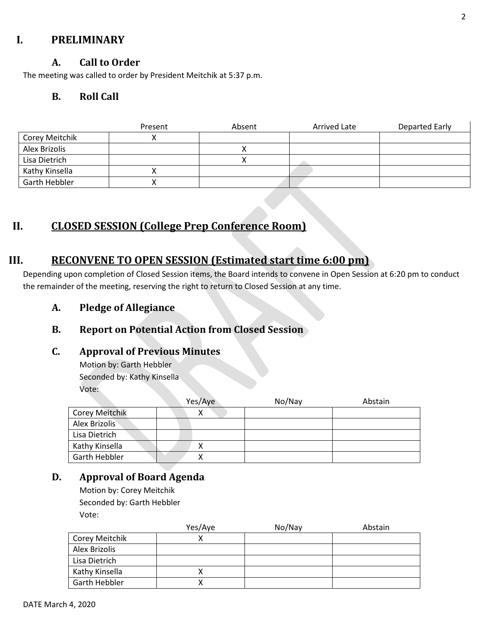# **I. PRELIMINARY**

### **A. Call to Order**

The meeting was called to order by President Meitchik at 5:37 p.m.

## **B. Roll Call**

|                | Present | Absent | Arrived Late | Departed Early |
|----------------|---------|--------|--------------|----------------|
| Corey Meitchik |         |        |              |                |
| Alex Brizolis  |         |        |              |                |
| Lisa Dietrich  |         |        |              |                |
| Kathy Kinsella |         |        |              |                |
| Garth Hebbler  |         |        |              |                |

# **II. CLOSED SESSION (College Prep Conference Room)**

# **III. RECONVENE TO OPEN SESSION (Estimated start time 6:00 pm)**

Depending upon completion of Closed Session items, the Board intends to convene in Open Session at 6:20 pm to conduct the remainder of the meeting, reserving the right to return to Closed Session at any time.

**A. Pledge of Allegiance**

# **B. Report on Potential Action from Closed Session**

#### **C. Approval of Previous Minutes**

Motion by: Garth Hebbler Seconded by: Kathy Kinsella Vote:

|                       | Yes/Aye | No/Nay | Abstain |
|-----------------------|---------|--------|---------|
| <b>Corey Meitchik</b> |         |        |         |
| Alex Brizolis         |         |        |         |
| Lisa Dietrich         |         |        |         |
| Kathy Kinsella        |         |        |         |
| Garth Hebbler         |         |        |         |

## **D. Approval of Board Agenda**

Motion by: Corey Meitchik Seconded by: Garth Hebbler Vote:

|                | Yes/Aye | No/Nay | Abstain |
|----------------|---------|--------|---------|
| Corey Meitchik |         |        |         |
| Alex Brizolis  |         |        |         |
| Lisa Dietrich  |         |        |         |
| Kathy Kinsella |         |        |         |
| Garth Hebbler  |         |        |         |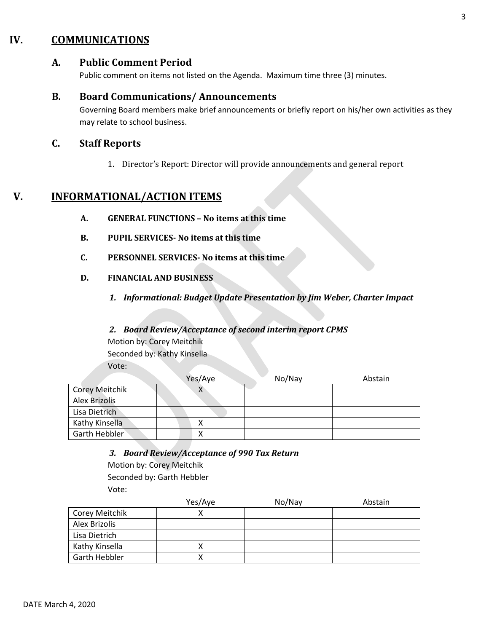# **IV. COMMUNICATIONS**

### **A. Public Comment Period**

Public comment on items not listed on the Agenda. Maximum time three (3) minutes.

#### **B. Board Communications/ Announcements**

Governing Board members make brief announcements or briefly report on his/her own activities as they may relate to school business.

### **C. Staff Reports**

1. Director's Report: Director will provide announcements and general report

# **V. INFORMATIONAL/ACTION ITEMS**

- **A. GENERAL FUNCTIONS – No items at this time**
- **B. PUPIL SERVICES- No items at this time**
- **C. PERSONNEL SERVICES- No items at this time**
- **D. FINANCIAL AND BUSINESS**
	- *1. Informational: Budget Update Presentation by Jim Weber, Charter Impact*

#### *2. Board Review/Acceptance of second interim report CPMS*

Motion by: Corey Meitchik

Seconded by: Kathy Kinsella

Vote:

|                       | Yes/Aye   | No/Nay | Abstain |
|-----------------------|-----------|--------|---------|
| <b>Corey Meitchik</b> | $\lambda$ |        |         |
| <b>Alex Brizolis</b>  |           |        |         |
| Lisa Dietrich         |           |        |         |
| Kathy Kinsella        |           |        |         |
| Garth Hebbler         |           |        |         |

*3. Board Review/Acceptance of 990 Tax Return*

Motion by: Corey Meitchik Seconded by: Garth Hebbler Vote:

|                | Yes/Aye | No/Nay | Abstain |
|----------------|---------|--------|---------|
| Corey Meitchik |         |        |         |
| Alex Brizolis  |         |        |         |
| Lisa Dietrich  |         |        |         |
| Kathy Kinsella |         |        |         |
| Garth Hebbler  |         |        |         |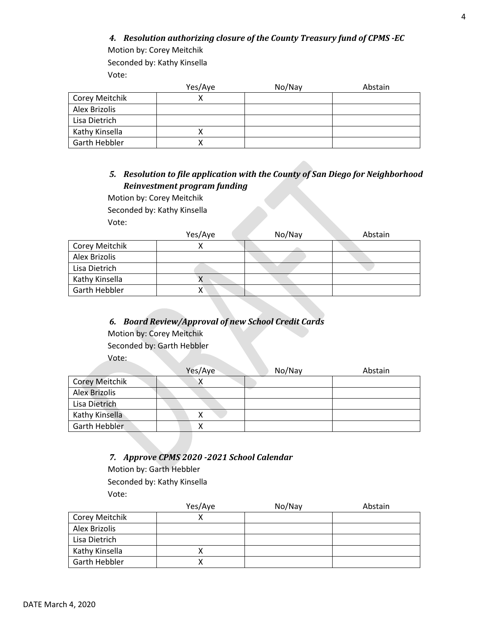#### *4. Resolution authorizing closure of the County Treasury fund of CPMS -EC*

Motion by: Corey Meitchik

Seconded by: Kathy Kinsella

Vote:

|                      | Yes/Aye | No/Nay | Abstain |
|----------------------|---------|--------|---------|
| Corey Meitchik       |         |        |         |
| Alex Brizolis        |         |        |         |
| Lisa Dietrich        |         |        |         |
| Kathy Kinsella       |         |        |         |
| <b>Garth Hebbler</b> |         |        |         |

### *5. Resolution to file application with the County of San Diego for Neighborhood Reinvestment program funding*

Motion by: Corey Meitchik Seconded by: Kathy Kinsella

Vote:

|                | Yes/Aye | No/Nay | Abstain |
|----------------|---------|--------|---------|
| Corey Meitchik |         |        |         |
| Alex Brizolis  |         |        |         |
| Lisa Dietrich  |         |        |         |
| Kathy Kinsella |         |        |         |
| Garth Hebbler  |         |        |         |

#### *6. Board Review/Approval of new School Credit Cards*

Motion by: Corey Meitchik

Seconded by: Garth Hebbler

Vote:

|                       | Yes/Aye | No/Nay | Abstain |
|-----------------------|---------|--------|---------|
| <b>Corey Meitchik</b> |         |        |         |
| <b>Alex Brizolis</b>  |         |        |         |
| Lisa Dietrich         |         |        |         |
| Kathy Kinsella        |         |        |         |
| <b>Garth Hebbler</b>  |         |        |         |
|                       |         |        |         |

#### *7. Approve CPMS 2020 -2021 School Calendar*

Motion by: Garth Hebbler

Seconded by: Kathy Kinsella Vote:

|                      | Yes/Aye | No/Nay | Abstain |
|----------------------|---------|--------|---------|
| Corey Meitchik       |         |        |         |
| Alex Brizolis        |         |        |         |
| Lisa Dietrich        |         |        |         |
| Kathy Kinsella       |         |        |         |
| <b>Garth Hebbler</b> |         |        |         |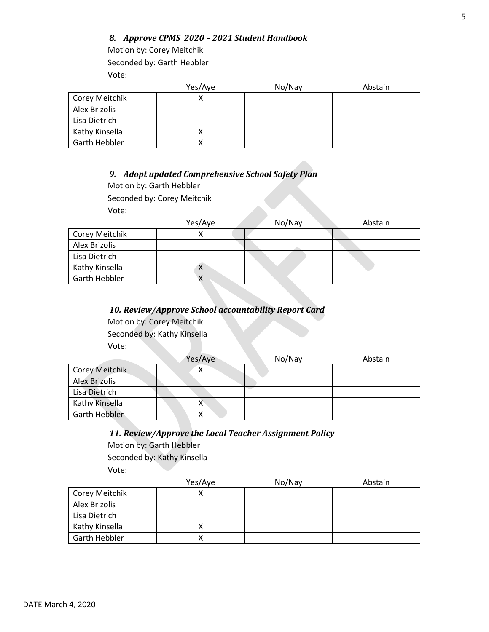#### *8. Approve CPMS 2020 – 2021 Student Handbook*

Motion by: Corey Meitchik Seconded by: Garth Hebbler Vote:

|                | Yes/Aye | No/Nay | Abstain |
|----------------|---------|--------|---------|
| Corey Meitchik |         |        |         |
| Alex Brizolis  |         |        |         |
| Lisa Dietrich  |         |        |         |
| Kathy Kinsella |         |        |         |
| Garth Hebbler  |         |        |         |

#### *9. Adopt updated Comprehensive School Safety Plan*

Motion by: Garth Hebbler

Seconded by: Corey Meitchik

Vote:

|                | Yes/Aye | No/Nay | Abstain |
|----------------|---------|--------|---------|
| Corey Meitchik |         |        |         |
| Alex Brizolis  |         |        |         |
| Lisa Dietrich  |         |        |         |
| Kathy Kinsella | X       |        |         |
| Garth Hebbler  | Λ       |        |         |

#### *10. Review/Approve School accountability Report Card*

Motion by: Corey Meitchik

Seconded by: Kathy Kinsella

Vote:

|                       | Yes/Aye | No/Nay | Abstain |
|-----------------------|---------|--------|---------|
| <b>Corey Meitchik</b> | v       |        |         |
| <b>Alex Brizolis</b>  |         |        |         |
| Lisa Dietrich         |         |        |         |
| Kathy Kinsella        | Λ       |        |         |
| Garth Hebbler         | "       |        |         |

### *11. Review/Approve the Local Teacher Assignment Policy*

Motion by: Garth Hebbler

Seconded by: Kathy Kinsella Vote:

|                | Yes/Aye | No/Nay | Abstain |
|----------------|---------|--------|---------|
| Corey Meitchik |         |        |         |
| Alex Brizolis  |         |        |         |
| Lisa Dietrich  |         |        |         |
| Kathy Kinsella |         |        |         |
| Garth Hebbler  |         |        |         |